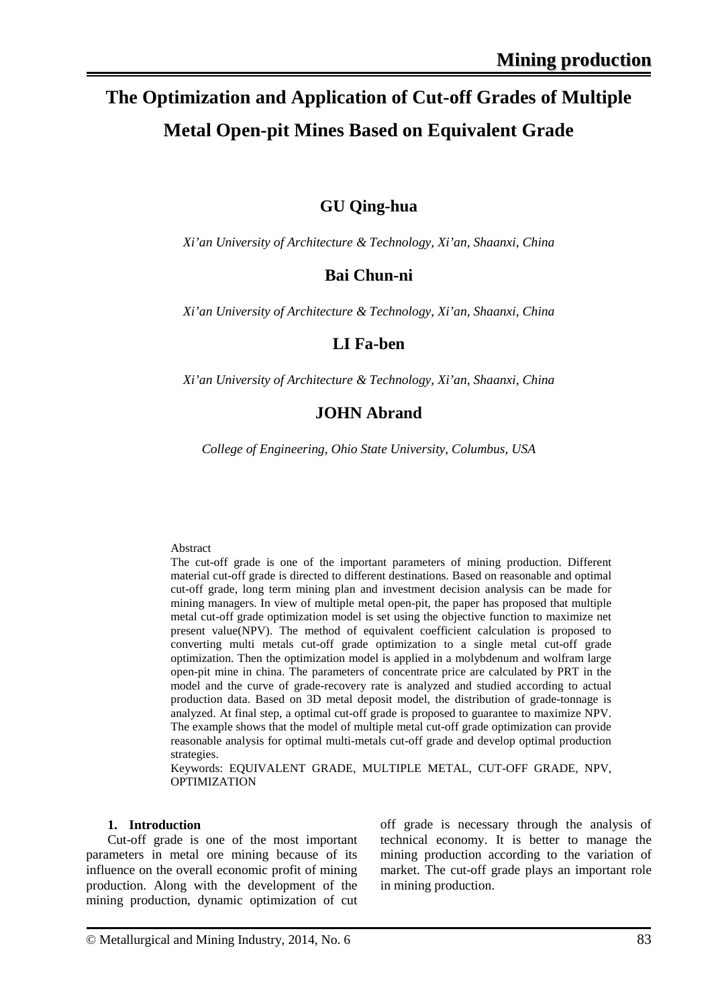# **The Optimization and Application of Cut-off Grades of Multiple Metal Open-pit Mines Based on Equivalent Grade**

## **GU Qing-hua**

*Xi'an University of Architecture & Technology, Xi'an, Shaanxi, China*

## **Bai Chun-ni**

*Xi'an University of Architecture & Technology, Xi'an, Shaanxi, China*

### **LI Fa-ben**

*Xi'an University of Architecture & Technology, Xi'an, Shaanxi, China*

### **JOHN Abrand**

*College of Engineering, Ohio State University, Columbus, USA*

#### Abstract

The cut-off grade is one of the important parameters of mining production. Different material cut-off grade is directed to different destinations. Based on reasonable and optimal cut-off grade, long term mining plan and investment decision analysis can be made for mining managers. In view of multiple metal open-pit, the paper has proposed that multiple metal cut-off grade optimization model is set using the objective function to maximize net present value(NPV). The method of equivalent coefficient calculation is proposed to converting multi metals cut-off grade optimization to a single metal cut-off grade optimization. Then the optimization model is applied in a molybdenum and wolfram large open-pit mine in china. The parameters of concentrate price are calculated by PRT in the model and the curve of grade-recovery rate is analyzed and studied according to actual production data. Based on 3D metal deposit model, the distribution of grade-tonnage is analyzed. At final step, a optimal cut-off grade is proposed to guarantee to maximize NPV. The example shows that the model of multiple metal cut-off grade optimization can provide reasonable analysis for optimal multi-metals cut-off grade and develop optimal production strategies.

Keywords: EQUIVALENT GRADE, MULTIPLE METAL, CUT-OFF GRADE, NPV, **OPTIMIZATION** 

#### **1. Introduction**

Cut-off grade is one of the most important parameters in metal ore mining because of its influence on the overall economic profit of mining production. Along with the development of the mining production, dynamic optimization of cut off grade is necessary through the analysis of technical economy. It is better to manage the mining production according to the variation of market. The cut-off grade plays an important role in mining production.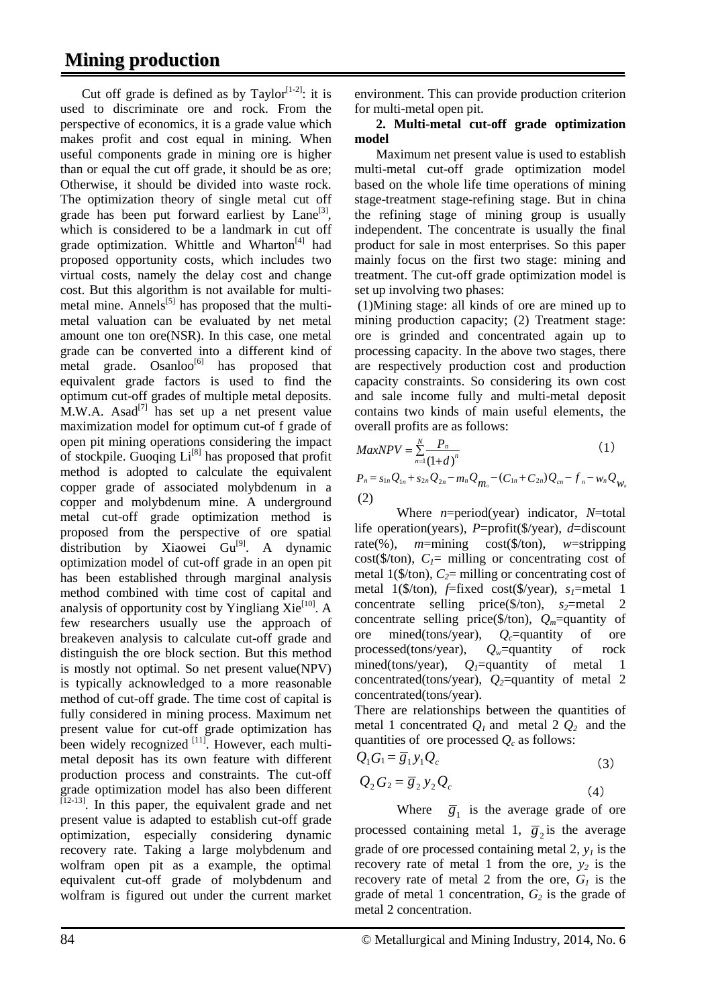Cut off grade is defined as by Taylor<sup> $[1-2]$ </sup>: it is used to discriminate ore and rock. From the perspective of economics, it is a grade value which makes profit and cost equal in mining. When useful components grade in mining ore is higher than or equal the cut off grade, it should be as ore; Otherwise, it should be divided into waste rock. The optimization theory of single metal cut off grade has been put forward earliest by  $\text{Lane}^{[3]}$ , which is considered to be a landmark in cut off grade optimization. Whittle and Wharton<sup>[4]</sup> had proposed opportunity costs, which includes two virtual costs, namely the delay cost and change cost. But this algorithm is not available for multimetal mine. Annels $^{[5]}$  has proposed that the multimetal valuation can be evaluated by net metal amount one ton ore(NSR). In this case, one metal grade can be converted into a different kind of metal grade.  $Osanloo^{[6]}$  has proposed that equivalent grade factors is used to find the optimum cut-off grades of multiple metal deposits.  $M.W.A.$  Asad<sup>[7]</sup> has set up a net present value maximization model for optimum cut-of f grade of open pit mining operations considering the impact of stockpile. Guoqing  $Li^{[8]}$  has proposed that profit method is adopted to calculate the equivalent copper grade of associated molybdenum in a copper and molybdenum mine. A underground metal cut-off grade optimization method is proposed from the perspective of ore spatial distribution by Xiaowei  $Gu^{[9]}$ . A dynamic optimization model of cut-off grade in an open pit has been established through marginal analysis method combined with time cost of capital and analysis of opportunity cost by Yingliang  $\chi$ ie<sup>[10]</sup>. A few researchers usually use the approach of breakeven analysis to calculate cut-off grade and distinguish the ore block section. But this method is mostly not optimal. So net present value(NPV) is typically acknowledged to a more reasonable method of cut-off grade. The time cost of capital is fully considered in mining process. Maximum net present value for cut-off grade optimization has been widely recognized  $\left[\begin{array}{c} 1 & 1 \end{array}\right]$ . However, each multimetal deposit has its own feature with different production process and constraints. The cut-off grade optimization model has also been different  $\left[12-13\right]$ . In this paper, the equivalent grade and net present value is adapted to establish cut-off grade optimization, especially considering dynamic recovery rate. Taking a large molybdenum and wolfram open pit as a example, the optimal equivalent cut-off grade of molybdenum and wolfram is figured out under the current market

environment. This can provide production criterion for multi-metal open pit.

### **2. Multi-metal cut-off grade optimization model**

Maximum net present value is used to establish multi-metal cut-off grade optimization model based on the whole life time operations of mining stage-treatment stage-refining stage. But in china the refining stage of mining group is usually independent. The concentrate is usually the final product for sale in most enterprises. So this paper mainly focus on the first two stage: mining and treatment. The cut-off grade optimization model is set up involving two phases:

(1)Mining stage: all kinds of ore are mined up to mining production capacity; (2) Treatment stage: ore is grinded and concentrated again up to processing capacity. In the above two stages, there are respectively production cost and production capacity constraints. So considering its own cost and sale income fully and multi-metal deposit contains two kinds of main useful elements, the overall profits are as follows:

$$
MaxNPV = \sum_{n=1}^{N} \frac{P_n}{(1+d)^n}
$$
\n
$$
P_n = s_{1n}Q_{1n} + s_{2n}Q_{2n} - m_nQ_{m_n} - (C_{1n} + C_{2n})Q_{cn} - f_n - w_nQ_{W_n}
$$
\n(2)

Where *n*=period(year) indicator, *N*=total life operation(years), *P*=profit(\$/year), *d*=discount rate(%), *m*=mining cost(\$/ton), *w*=stripping cost( $\delta$ /ton),  $C_1$ = milling or concentrating cost of metal 1( $\frac{\pi}{2}$ = milling or concentrating cost of metal 1( $\frac{\pi}{6}$ /ton),  $\frac{\pi}{6}$  fixed cost( $\frac{\pi}{6}$ /year),  $s_1$ =metal 1 concentrate selling price( $\frac{\pi}{2}$ =metal 2 concentrate selling price( $\frac{f}{f}$ )  $Q_m$ =quantity of ore mined(tons/year),  $Q_c$ =quantity of ore<br>processed(tons/year),  $Q_w$ =quantity of rock processed(tons/year), *Qw*=quantity of rock mined(tons/year),  $Q_1$ =quantity of metal 1 concentrated(tons/year),  $Q_2$ =quantity of metal 2 concentrated(tons/year).

There are relationships between the quantities of metal 1 concentrated  $Q_1$  and metal 2  $Q_2$  and the quantities of ore processed  $Q_c$  as follows:

$$
Q_1 G_1 = \overline{g}_1 y_1 Q_c \tag{3}
$$

$$
Q_2 G_2 = \overline{g}_2 y_2 Q_c \tag{4}
$$

Where  $\overline{g}_1$  is the average grade of ore processed containing metal 1,  $\overline{g}_2$  is the average grade of ore processed containing metal 2,  $y_l$  is the recovery rate of metal 1 from the ore,  $y_2$  is the recovery rate of metal 2 from the ore,  $G<sub>1</sub>$  is the grade of metal 1 concentration,  $G_2$  is the grade of metal 2 concentration.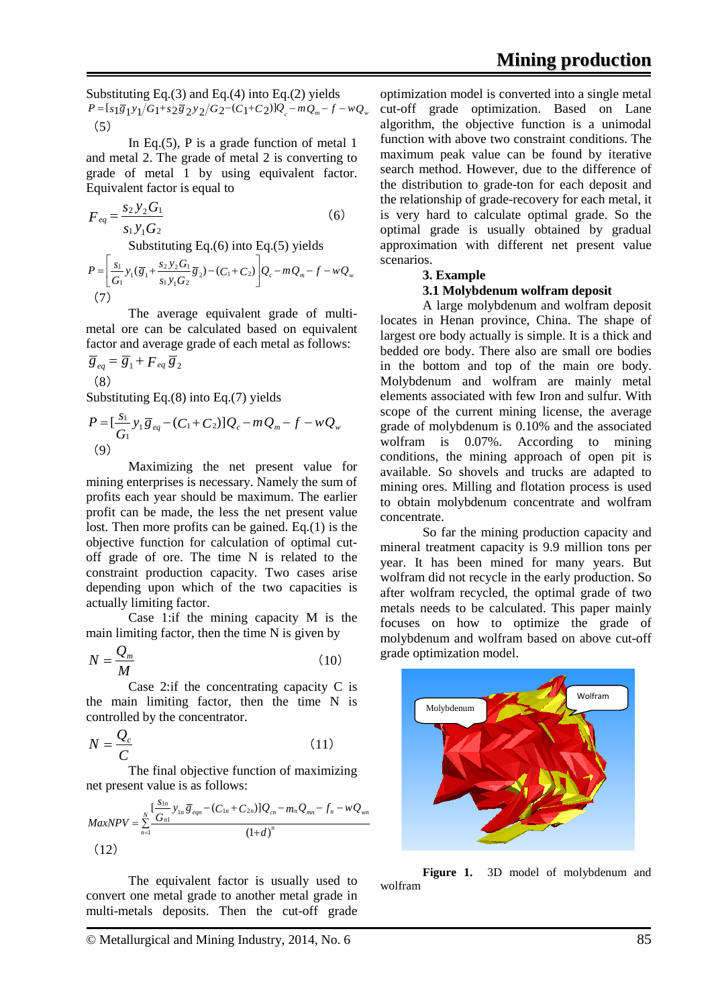Substituting Eq.(3) and Eq.(4) into Eq.(2) yields  $P = [s_1 \overline{g}_1 y_1/G_1 + s_2 \overline{g}_2 y_2/G_2 - (C_1 + C_2)]Q_c - mQ_m - f - wQ_w$  $(5)$ 

In Eq.(5), P is a grade function of metal  $1$ and metal 2. The grade of metal 2 is converting to grade of metal 1 by using equivalent factor. Equivalent factor is equal to

$$
F_{eq} = \frac{s_2 y_2 G_1}{s_1 y_1 G_2}
$$
 (6)  
Substituting Eq.(6) into Eq.(5) yields  

$$
P = \left[\frac{s_1}{G_1} y_1 (\overline{g}_1 + \frac{s_2 y_2 G_1}{s_1 y_1 G_2} \overline{g}_2) - (C_1 + C_2) \right] Q_c - m Q_m - f - w Q_w
$$

$$
(7)
$$

The average equivalent grade of multimetal ore can be calculated based on equivalent factor and average grade of each metal as follows:

$$
\overline{g}_{eq} = \overline{g}_1 + F_{eq} \overline{g}_2
$$
  
(8)

Substituting Eq.(8) into Eq.(7) yields

$$
P = \left[\frac{s_1}{G_1} y_1 \overline{g}_{eq} - (C_1 + C_2) \right] Q_c - m Q_m - f - w Q_w
$$
  
(9)

Maximizing the net present value for mining enterprises is necessary. Namely the sum of profits each year should be maximum. The earlier profit can be made, the less the net present value lost. Then more profits can be gained. Eq.(1) is the objective function for calculation of optimal cutoff grade of ore. The time N is related to the constraint production capacity. Two cases arise depending upon which of the two capacities is actually limiting factor.

Case 1:if the mining capacity M is the main limiting factor, then the time N is given by

$$
N = \frac{Q_m}{M} \tag{10}
$$

Case 2:if the concentrating capacity C is the main limiting factor, then the time N is controlled by the concentrator.

$$
N = \frac{Q_c}{C}
$$
 (11)

The final objective function of maximizing net present value is as follows:

$$
MaxNPV = \sum_{n=1}^{N} \frac{[\frac{S_{1n}}{G_{n1}} y_{1n} \overline{g}_{eqn} - (C_{1n} + C_{2n})]Q_{cn} - m_n Q_{mn} - f_n - wQ_{wn}}{(1+d)^n}
$$
\n(12)

 The equivalent factor is usually used to convert one metal grade to another metal grade in multi-metals deposits. Then the cut-off grade

© Metallurgical and Mining Industry, 2014, No. 6 85

optimization model is converted into a single metal cut-off grade optimization. Based on Lane algorithm, the objective function is a unimodal function with above two constraint conditions. The maximum peak value can be found by iterative search method. However, due to the difference of the distribution to grade-ton for each deposit and the relationship of grade-recovery for each metal, it is very hard to calculate optimal grade. So the optimal grade is usually obtained by gradual approximation with different net present value scenarios.

#### **3. Example**

#### **3.1 Molybdenum wolfram deposit**

A large molybdenum and wolfram deposit locates in Henan province, China. The shape of largest ore body actually is simple. It is a thick and bedded ore body. There also are small ore bodies in the bottom and top of the main ore body. Molybdenum and wolfram are mainly metal elements associated with few Iron and sulfur. With scope of the current mining license, the average grade of molybdenum is 0.10% and the associated wolfram is 0.07%. According to mining conditions, the mining approach of open pit is available. So shovels and trucks are adapted to mining ores. Milling and flotation process is used to obtain molybdenum concentrate and wolfram concentrate.

So far the mining production capacity and mineral treatment capacity is 9.9 million tons per year. It has been mined for many years. But wolfram did not recycle in the early production. So after wolfram recycled, the optimal grade of two metals needs to be calculated. This paper mainly focuses on how to optimize the grade of molybdenum and wolfram based on above cut-off grade optimization model.



**Figure 1.** 3D model of molybdenum and wolfram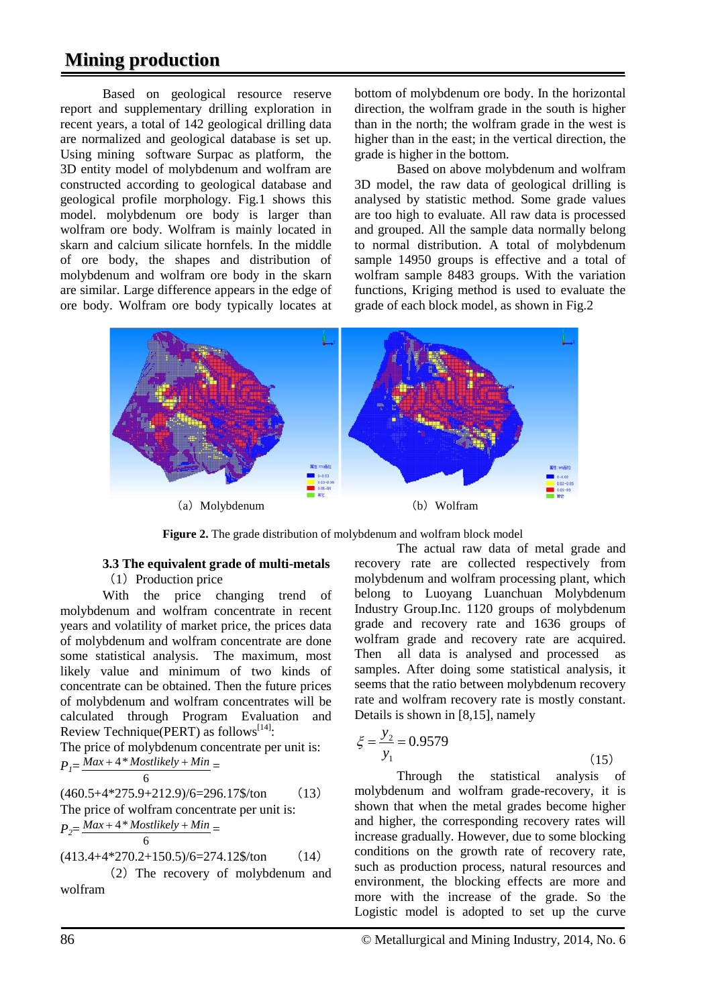## **Mining production**

Based on geological resource reserve report and supplementary drilling exploration in recent years, a total of 142 geological drilling data are normalized and geological database is set up. Using mining software Surpac as platform, the 3D entity model of molybdenum and wolfram are constructed according to geological database and geological profile morphology. Fig.1 shows this model. molybdenum ore body is larger than wolfram ore body. Wolfram is mainly located in skarn and calcium silicate hornfels. In the middle of ore body, the shapes and distribution of molybdenum and wolfram ore body in the skarn are similar. Large difference appears in the edge of ore body. Wolfram ore body typically locates at

bottom of molybdenum ore body. In the horizontal direction, the wolfram grade in the south is higher than in the north; the wolfram grade in the west is higher than in the east; in the vertical direction, the grade is higher in the bottom.

Based on above molybdenum and wolfram 3D model, the raw data of geological drilling is analysed by statistic method. Some grade values are too high to evaluate. All raw data is processed and grouped. All the sample data normally belong to normal distribution. A total of molybdenum sample 14950 groups is effective and a total of wolfram sample 8483 groups. With the variation functions, Kriging method is used to evaluate the grade of each block model, as shown in Fig.2



**Figure 2.** The grade distribution of molybdenum and wolfram block model

## **3.3 The equivalent grade of multi-metals**

(1) Production price

With the price changing trend of molybdenum and wolfram concentrate in recent years and volatility of market price, the prices data of molybdenum and wolfram concentrate are done some statistical analysis. The maximum, most likely value and minimum of two kinds of concentrate can be obtained. Then the future prices of molybdenum and wolfram concentrates will be calculated through Program Evaluation and Review Technique(PERT) as follows<sup>[14]</sup>:

The price of molybdenum concentrate per unit is:  $P_l = \frac{Max + 4 * Mostlikely + Min}{6} =$ 

$$
\boxed{6}
$$

(460.5+4\*275.9+212.9)/6=296.17\$/ton (13) The price of wolfram concentrate per unit is:  $P_2 = \frac{Max + 4 * Mostlikely + Min}{6} =$ 

$$
(413.4+4*270.2+150.5)/6=274.12\frac{8}{\text{ton}} \tag{14}
$$

The recovery of molybdenum and wolfram

The actual raw data of metal grade and recovery rate are collected respectively from molybdenum and wolfram processing plant, which belong to Luoyang Luanchuan Molybdenum Industry Group.Inc. 1120 groups of molybdenum grade and recovery rate and 1636 groups of wolfram grade and recovery rate are acquired. Then all data is analysed and processed as samples. After doing some statistical analysis, it seems that the ratio between molybdenum recovery rate and wolfram recovery rate is mostly constant. Details is shown in [8,15], namely

$$
\xi = \frac{y_2}{y_1} = 0.9579\tag{15}
$$

Through the statistical analysis of molybdenum and wolfram grade-recovery, it is shown that when the metal grades become higher and higher, the corresponding recovery rates will increase gradually. However, due to some blocking conditions on the growth rate of recovery rate, such as production process, natural resources and environment, the blocking effects are more and more with the increase of the grade. So the Logistic model is adopted to set up the curve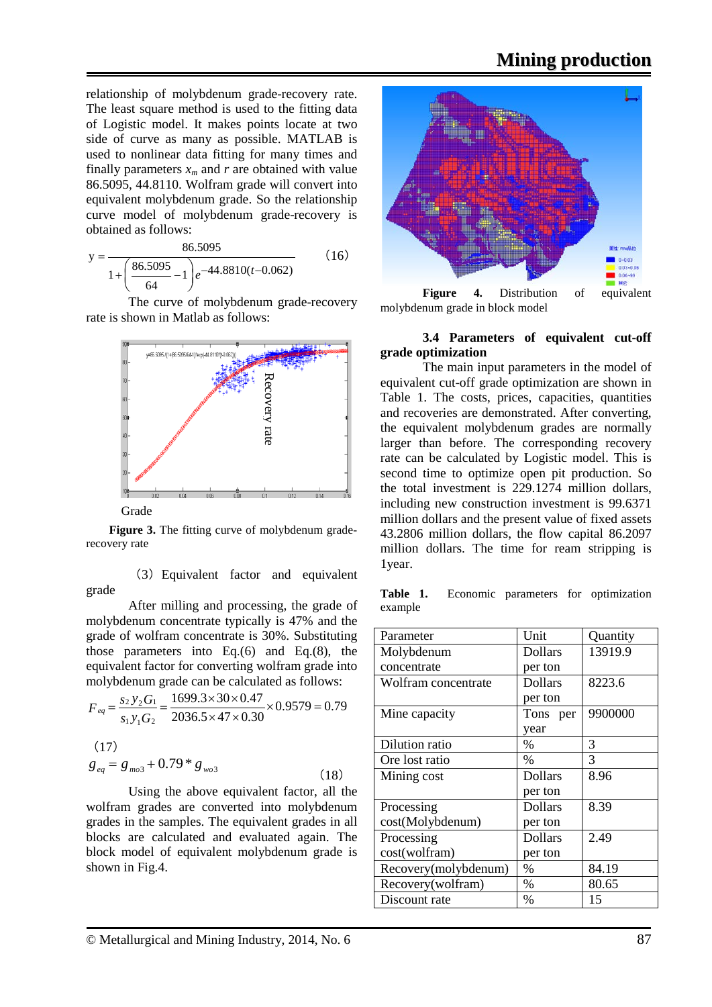relationship of molybdenum grade-recovery rate. The least square method is used to the fitting data of Logistic model. It makes points locate at two side of curve as many as possible. MATLAB is used to nonlinear data fitting for many times and finally parameters  $x_m$  and  $r$  are obtained with value 86.5095, 44.8110. Wolfram grade will convert into equivalent molybdenum grade. So the relationship curve model of molybdenum grade-recovery is obtained as follows:

$$
y = \frac{86.5095}{1 + \left(\frac{86.5095}{64} - 1\right)e^{-44.8810(t - 0.062)}}
$$
(16)

The curve of molybdenum grade-recovery rate is shown in Matlab as follows:



**Figure 3.** The fitting curve of molybdenum graderecovery rate

(3)Equivalent factor and equivalent grade

After milling and processing, the grade of molybdenum concentrate typically is 47% and the grade of wolfram concentrate is 30%. Substituting those parameters into Eq.(6) and Eq.(8), the equivalent factor for converting wolfram grade into molybdenum grade can be calculated as follows:

$$
F_{eq} = \frac{s_2 y_2 G_1}{s_1 y_1 G_2} = \frac{1699.3 \times 30 \times 0.47}{2036.5 \times 47 \times 0.30} \times 0.9579 = 0.79
$$
\n(17)

$$
g_{eq} = g_{mo3} + 0.79 * g_{wo3}
$$
 (18)

Using the above equivalent factor, all the wolfram grades are converted into molybdenum grades in the samples. The equivalent grades in all blocks are calculated and evaluated again. The block model of equivalent molybdenum grade is shown in Fig.4.



**Figure 4.** Distribution of equivalent molybdenum grade in block model

### **3.4 Parameters of equivalent cut-off grade optimization**

The main input parameters in the model of equivalent cut-off grade optimization are shown in Table 1. The costs, prices, capacities, quantities and recoveries are demonstrated. After converting, the equivalent molybdenum grades are normally larger than before. The corresponding recovery rate can be calculated by Logistic model. This is second time to optimize open pit production. So the total investment is 229.1274 million dollars, including new construction investment is 99.6371 million dollars and the present value of fixed assets 43.2806 million dollars, the flow capital 86.2097 million dollars. The time for ream stripping is 1year.

**Table 1.** Economic parameters for optimization example

| Parameter            | Unit           | Quantity |
|----------------------|----------------|----------|
| Molybdenum           | <b>Dollars</b> | 13919.9  |
| concentrate          | per ton        |          |
| Wolfram concentrate  | <b>Dollars</b> | 8223.6   |
|                      | per ton        |          |
| Mine capacity        | Tons per       | 9900000  |
|                      | year           |          |
| Dilution ratio       | %              | 3        |
| Ore lost ratio       | $\%$           | 3        |
| Mining cost          | <b>Dollars</b> | 8.96     |
|                      | per ton        |          |
| Processing           | <b>Dollars</b> | 8.39     |
| cost(Molybdenum)     | per ton        |          |
| Processing           | <b>Dollars</b> | 2.49     |
| cost(wolfram)        | per ton        |          |
| Recovery(molybdenum) | $\%$           | 84.19    |
| Recovery(wolfram)    | $\%$           | 80.65    |
| Discount rate        | $\%$           | 15       |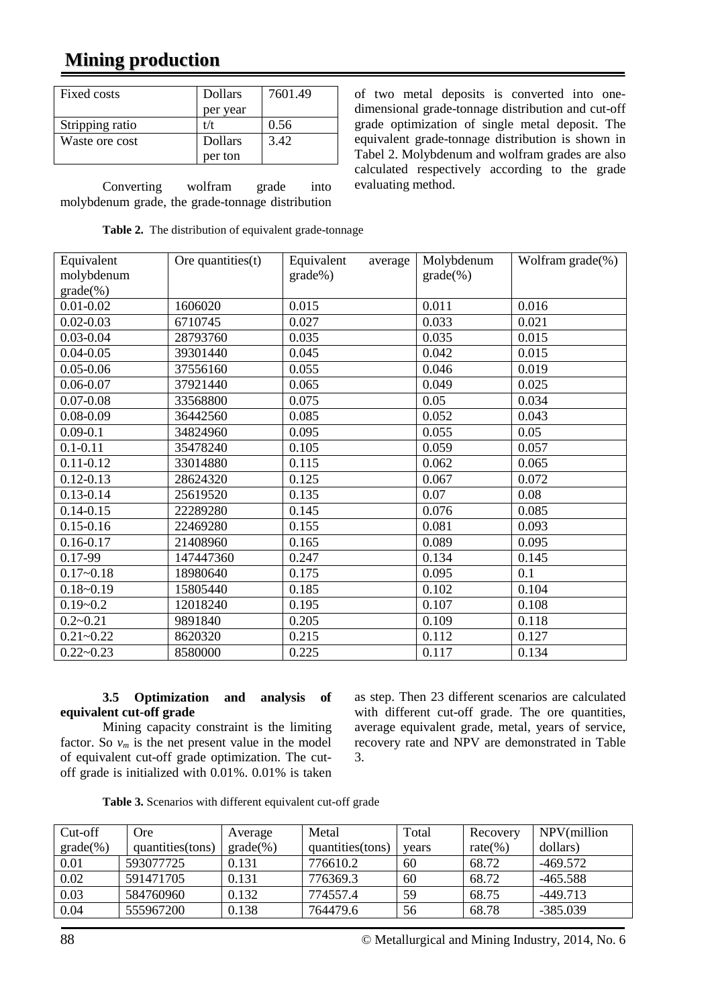## **Mining production**

| Fixed costs     | <b>Dollars</b> | 7601.49 |  |
|-----------------|----------------|---------|--|
|                 | per year       |         |  |
| Stripping ratio | t/t            | 0.56    |  |
| Waste ore cost  | <b>Dollars</b> | 3.42    |  |
|                 | per ton        |         |  |

Converting wolfram grade into molybdenum grade, the grade-tonnage distribution

of two metal deposits is converted into onedimensional grade-tonnage distribution and cut-off grade optimization of single metal deposit. The equivalent grade-tonnage distribution is shown in Tabel 2. Molybdenum and wolfram grades are also calculated respectively according to the grade evaluating method.

| Equivalent    | Ore quantities(t) | Equivalent<br>average | Molybdenum  | Wolfram grade(%) |
|---------------|-------------------|-----------------------|-------------|------------------|
| molybdenum    |                   | grade%)               | $grade$ (%) |                  |
| $grade$ (%)   |                   |                       |             |                  |
| $0.01 - 0.02$ | 1606020           | 0.015                 | 0.011       | 0.016            |
| $0.02 - 0.03$ | 6710745           | 0.027                 | 0.033       | 0.021            |
| $0.03 - 0.04$ | 28793760          | 0.035                 | 0.035       | 0.015            |
| $0.04 - 0.05$ | 39301440          | 0.045                 | 0.042       | 0.015            |
| $0.05 - 0.06$ | 37556160          | 0.055                 | 0.046       | 0.019            |
| $0.06 - 0.07$ | 37921440          | 0.065                 | 0.049       | 0.025            |
| $0.07 - 0.08$ | 33568800          | 0.075                 | 0.05        | 0.034            |
| $0.08 - 0.09$ | 36442560          | 0.085                 | 0.052       | 0.043            |
| $0.09 - 0.1$  | 34824960          | 0.095                 | 0.055       | 0.05             |
| $0.1 - 0.11$  | 35478240          | 0.105                 | 0.059       | 0.057            |
| $0.11 - 0.12$ | 33014880          | 0.115                 | 0.062       | 0.065            |
| $0.12 - 0.13$ | 28624320          | 0.125                 | 0.067       | 0.072            |
| $0.13 - 0.14$ | 25619520          | 0.135                 | 0.07        | 0.08             |
| $0.14 - 0.15$ | 22289280          | 0.145                 | 0.076       | 0.085            |
| $0.15 - 0.16$ | 22469280          | 0.155                 | 0.081       | 0.093            |
| $0.16 - 0.17$ | 21408960          | 0.165                 | 0.089       | 0.095            |
| 0.17-99       | 147447360         | 0.247                 | 0.134       | 0.145            |
| $0.17 - 0.18$ | 18980640          | 0.175                 | 0.095       | 0.1              |
| $0.18 - 0.19$ | 15805440          | 0.185                 | 0.102       | 0.104            |
| $0.19 - 0.2$  | 12018240          | 0.195                 | 0.107       | 0.108            |
| $0.2 - 0.21$  | 9891840           | 0.205                 | 0.109       | 0.118            |
| $0.21 - 0.22$ | 8620320           | 0.215                 | 0.112       | 0.127            |
| $0.22 - 0.23$ | 8580000           | 0.225                 | 0.117       | 0.134            |

### **3.5 Optimization and analysis of equivalent cut-off grade**

Mining capacity constraint is the limiting factor. So  $v_m$  is the net present value in the model of equivalent cut-off grade optimization. The cutoff grade is initialized with 0.01%. 0.01% is taken as step. Then 23 different scenarios are calculated with different cut-off grade. The ore quantities, average equivalent grade, metal, years of service, recovery rate and NPV are demonstrated in Table 3.

| Table 3. Scenarios with different equivalent cut-off grade |  |  |  |  |
|------------------------------------------------------------|--|--|--|--|
|------------------------------------------------------------|--|--|--|--|

| Cut-off     | Ore              | Average      | Metal             | Total | Recovery     | NPV(million |
|-------------|------------------|--------------|-------------------|-------|--------------|-------------|
| $grade$ (%) | quantities(tons) | $grade(\% )$ | quantities (tons) | years | rate $(\% )$ | dollars)    |
| 0.01        | 593077725        | 0.131        | 776610.2          | 60    | 68.72        | $-469.572$  |
| 0.02        | 591471705        | 0.131        | 776369.3          | 60    | 68.72        | $-465.588$  |
| 0.03        | 584760960        | 0.132        | 774557.4          | 59    | 68.75        | $-449.713$  |
| 0.04        | 555967200        | 0.138        | 764479.6          | 56    | 68.78        | $-385.039$  |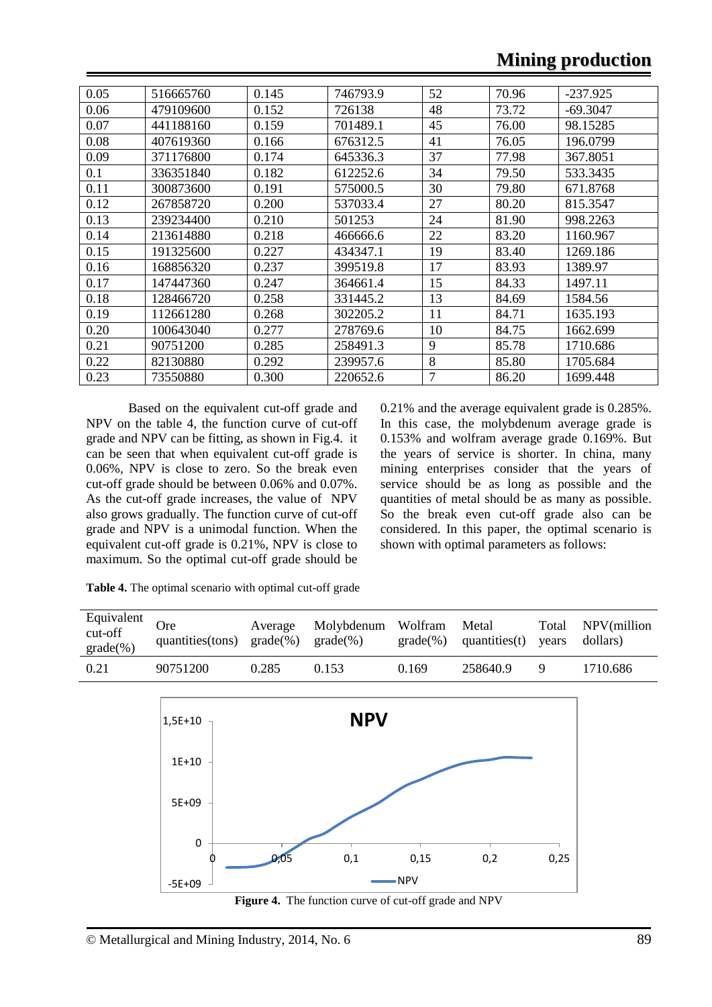## **Mining production**

| 0.05 | 516665760 | 0.145 | 746793.9 | 52 | 70.96 | $-237.925$ |
|------|-----------|-------|----------|----|-------|------------|
| 0.06 | 479109600 | 0.152 | 726138   | 48 | 73.72 | $-69.3047$ |
| 0.07 | 441188160 | 0.159 | 701489.1 | 45 | 76.00 | 98.15285   |
| 0.08 | 407619360 | 0.166 | 676312.5 | 41 | 76.05 | 196.0799   |
| 0.09 | 371176800 | 0.174 | 645336.3 | 37 | 77.98 | 367.8051   |
| 0.1  | 336351840 | 0.182 | 612252.6 | 34 | 79.50 | 533.3435   |
| 0.11 | 300873600 | 0.191 | 575000.5 | 30 | 79.80 | 671.8768   |
| 0.12 | 267858720 | 0.200 | 537033.4 | 27 | 80.20 | 815.3547   |
| 0.13 | 239234400 | 0.210 | 501253   | 24 | 81.90 | 998.2263   |
| 0.14 | 213614880 | 0.218 | 466666.6 | 22 | 83.20 | 1160.967   |
| 0.15 | 191325600 | 0.227 | 434347.1 | 19 | 83.40 | 1269.186   |
| 0.16 | 168856320 | 0.237 | 399519.8 | 17 | 83.93 | 1389.97    |
| 0.17 | 147447360 | 0.247 | 364661.4 | 15 | 84.33 | 1497.11    |
| 0.18 | 128466720 | 0.258 | 331445.2 | 13 | 84.69 | 1584.56    |
| 0.19 | 112661280 | 0.268 | 302205.2 | 11 | 84.71 | 1635.193   |
| 0.20 | 100643040 | 0.277 | 278769.6 | 10 | 84.75 | 1662.699   |
| 0.21 | 90751200  | 0.285 | 258491.3 | 9  | 85.78 | 1710.686   |
| 0.22 | 82130880  | 0.292 | 239957.6 | 8  | 85.80 | 1705.684   |
| 0.23 | 73550880  | 0.300 | 220652.6 | 7  | 86.20 | 1699.448   |

Based on the equivalent cut-off grade and NPV on the table 4, the function curve of cut-off grade and NPV can be fitting, as shown in Fig.4. it can be seen that when equivalent cut-off grade is 0.06%, NPV is close to zero. So the break even cut-off grade should be between 0.06% and 0.07%. As the cut-off grade increases, the value of NPV also grows gradually. The function curve of cut-off grade and NPV is a unimodal function. When the equivalent cut-off grade is 0.21%, NPV is close to maximum. So the optimal cut-off grade should be 0.21% and the average equivalent grade is 0.285%. In this case, the molybdenum average grade is 0.153% and wolfram average grade 0.169%. But the years of service is shorter. In china, many mining enterprises consider that the years of service should be as long as possible and the quantities of metal should be as many as possible. So the break even cut-off grade also can be considered. In this paper, the optimal scenario is shown with optimal parameters as follows:

**Table 4.** The optimal scenario with optimal cut-off grade

| Equivalent<br>cut-off<br>$grade$ (%) | <b>Ore</b><br>quantities(tons) | Average<br>$grade(\% )$ grade $(\% )$ | Molybdenum Wolfram |       | Metal<br>$grade(\% )$ quantities(t) years dollars) |   | Total NPV(million |
|--------------------------------------|--------------------------------|---------------------------------------|--------------------|-------|----------------------------------------------------|---|-------------------|
| 0.21                                 | 90751200                       | 0.285                                 | 0.153              | 0.169 | 258640.9                                           | Q | 1710.686          |

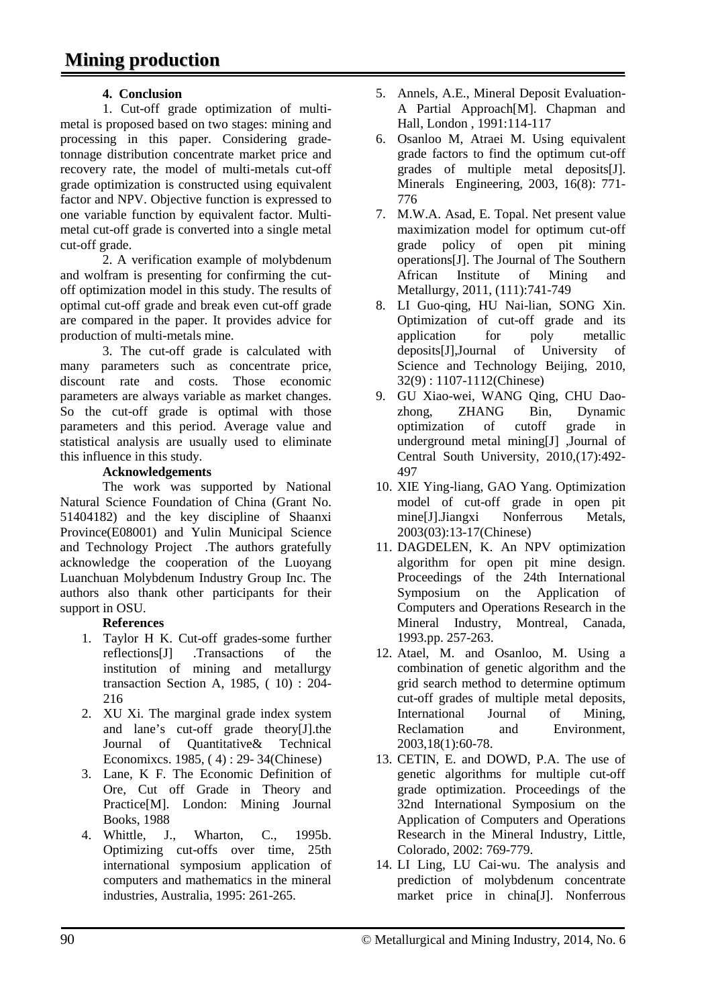### **4. Conclusion**

1. Cut-off grade optimization of multimetal is proposed based on two stages: mining and processing in this paper. Considering gradetonnage distribution concentrate market price and recovery rate, the model of multi-metals cut-off grade optimization is constructed using equivalent factor and NPV. Objective function is expressed to one variable function by equivalent factor. Multimetal cut-off grade is converted into a single metal cut-off grade.

2. A verification example of molybdenum and wolfram is presenting for confirming the cutoff optimization model in this study. The results of optimal cut-off grade and break even cut-off grade are compared in the paper. It provides advice for production of multi-metals mine.

3. The cut-off grade is calculated with many parameters such as concentrate price, discount rate and costs. Those economic parameters are always variable as market changes. So the cut-off grade is optimal with those parameters and this period. Average value and statistical analysis are usually used to eliminate this influence in this study.

### **Acknowledgements**

The work was supported by National Natural Science Foundation of China (Grant No. 51404182) and the key discipline of Shaanxi Province(E08001) and Yulin Municipal Science and Technology Project .The authors gratefully acknowledge the cooperation of the Luoyang Luanchuan Molybdenum Industry Group Inc. The authors also thank other participants for their support in OSU.

### **References**

- 1. Taylor H K. Cut-off grades-some further<br>reflections  $[J]$  . Transactions of the reflections[J] .Transactions of the institution of mining and metallurgy transaction Section A, 1985, ( 10) : 204- 216
- 2. XU Xi. The marginal grade index system and lane's cut-off grade theory[J].the Journal of Quantitative& Technical Economixcs. 1985, ( 4) : 29- 34(Chinese)
- 3. Lane, K F. The Economic Definition of Ore, Cut off Grade in Theory and Practice[M]. London: Mining Journal Books, 1988
- 4. Whittle, J., Wharton, C., 1995b. Optimizing cut-offs over time, 25th international symposium application of computers and mathematics in the mineral industries, Australia, 1995: 261-265.
- 5. Annels, A.E., Mineral Deposit Evaluation-A Partial Approach[M]. Chapman and Hall, London , 1991:114-117
- 6. Osanloo M, Atraei M. Using equivalent grade factors to find the optimum cut-off grades of multiple metal deposits[J]. Minerals Engineering, 2003, 16(8): 771- 776
- 7. M.W.A. Asad, E. Topal. Net present value maximization model for optimum cut-off grade policy of open pit mining operations[J]. The Journal of The Southern African Institute of Mining and Metallurgy, 2011, (111):741-749
- 8. LI Guo-qing, HU Nai-lian, SONG Xin. Optimization of cut-off grade and its application for poly metallic deposits[J],Journal of University of Science and Technology Beijing, 2010, 32(9) : 1107-1112(Chinese)
- 9. GU Xiao-wei, WANG Qing, CHU Daozhong, ZHANG Bin, Dynamic optimization of cutoff grade in underground metal mining[J] ,Journal of Central South University, 2010,(17):492- 497
- 10. XIE Ying-liang, GAO Yang. Optimization model of cut-off grade in open pit mine[J].Jiangxi Nonferrous Metals, 2003(03):13-17(Chinese)
- 11. DAGDELEN, K. An NPV optimization algorithm for open pit mine design. Proceedings of the 24th International Symposium on the Application of Computers and Operations Research in the Mineral Industry, Montreal, Canada, 1993.pp. 257-263.
- 12. Atael, M. and Osanloo, M. Using a combination of genetic algorithm and the grid search method to determine optimum cut-off grades of multiple metal deposits,<br>International Journal of Mining, International Journal of Mining, Reclamation and Environment. 2003,18(1):60-78.
- 13. CETIN, E. and DOWD, P.A. The use of genetic algorithms for multiple cut-off grade optimization. Proceedings of the 32nd International Symposium on the Application of Computers and Operations Research in the Mineral Industry, Little, Colorado, 2002: 769-779.
- 14. LI Ling, LU Cai-wu. The analysis and prediction of molybdenum concentrate market price in china[J]. Nonferrous